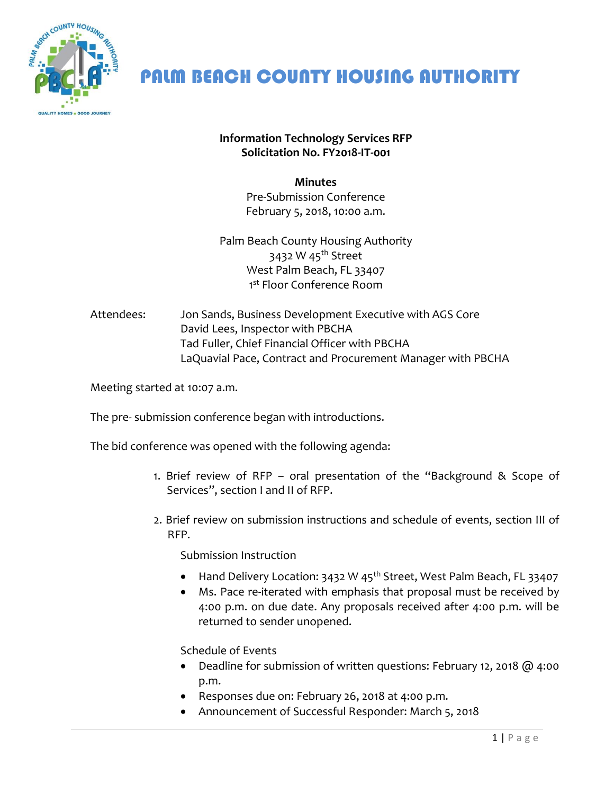

# PALM BEACH COUNTY HOUSING AUTHORITY

# **Information Technology Services RFP Solicitation No. FY2018-IT-001**

## **Minutes**

Pre-Submission Conference February 5, 2018, 10:00 a.m.

Palm Beach County Housing Authority 3432 W 45<sup>th</sup> Street West Palm Beach, FL 33407 1st Floor Conference Room

Attendees: Jon Sands, Business Development Executive with AGS Core David Lees, Inspector with PBCHA Tad Fuller, Chief Financial Officer with PBCHA LaQuavial Pace, Contract and Procurement Manager with PBCHA

Meeting started at 10:07 a.m.

The pre- submission conference began with introductions.

The bid conference was opened with the following agenda:

- 1. Brief review of RFP oral presentation of the "Background & Scope of Services", section I and II of RFP.
- 2. Brief review on submission instructions and schedule of events, section III of RFP.

Submission Instruction

- Hand Delivery Location: 3432 W 45<sup>th</sup> Street, West Palm Beach, FL 33407
- Ms. Pace re-iterated with emphasis that proposal must be received by 4:00 p.m. on due date. Any proposals received after 4:00 p.m. will be returned to sender unopened.

Schedule of Events

- Deadline for submission of written questions: February 12, 2018 @ 4:00 p.m.
- Responses due on: February 26, 2018 at 4:00 p.m.
- Announcement of Successful Responder: March 5, 2018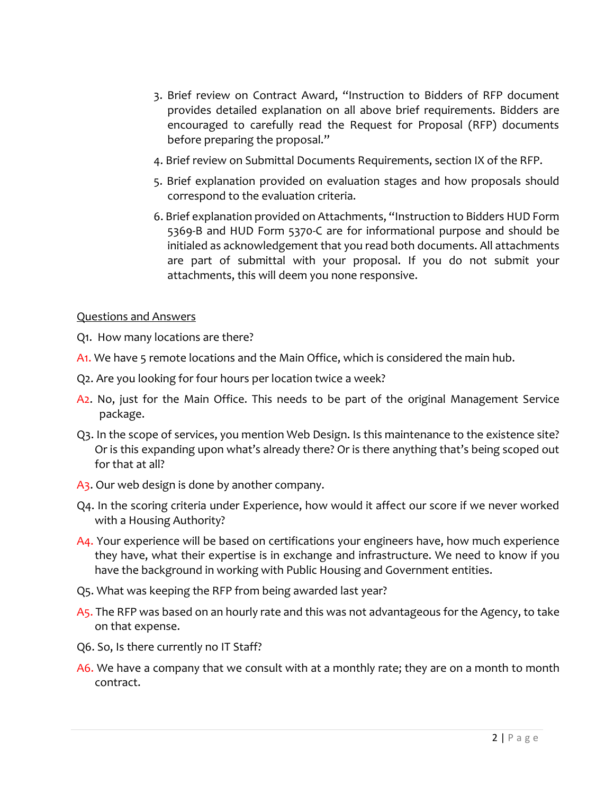- 3. Brief review on Contract Award, "Instruction to Bidders of RFP document provides detailed explanation on all above brief requirements. Bidders are encouraged to carefully read the Request for Proposal (RFP) documents before preparing the proposal."
- 4. Brief review on Submittal Documents Requirements, section IX of the RFP.
- 5. Brief explanation provided on evaluation stages and how proposals should correspond to the evaluation criteria.
- 6. Brief explanation provided on Attachments, "Instruction to Bidders HUD Form 5369-B and HUD Form 5370-C are for informational purpose and should be initialed as acknowledgement that you read both documents. All attachments are part of submittal with your proposal. If you do not submit your attachments, this will deem you none responsive.

## Questions and Answers

- Q1. How many locations are there?
- A1. We have 5 remote locations and the Main Office, which is considered the main hub.
- Q2. Are you looking for four hours per location twice a week?
- A<sub>2</sub>. No, just for the Main Office. This needs to be part of the original Management Service package.
- Q3. In the scope of services, you mention Web Design. Is this maintenance to the existence site? Or is this expanding upon what's already there? Or is there anything that's being scoped out for that at all?
- A3. Our web design is done by another company.
- Q4. In the scoring criteria under Experience, how would it affect our score if we never worked with a Housing Authority?
- A4. Your experience will be based on certifications your engineers have, how much experience they have, what their expertise is in exchange and infrastructure. We need to know if you have the background in working with Public Housing and Government entities.
- Q5. What was keeping the RFP from being awarded last year?
- A5. The RFP was based on an hourly rate and this was not advantageous for the Agency, to take on that expense.
- Q6. So, Is there currently no IT Staff?
- A6. We have a company that we consult with at a monthly rate; they are on a month to month contract.